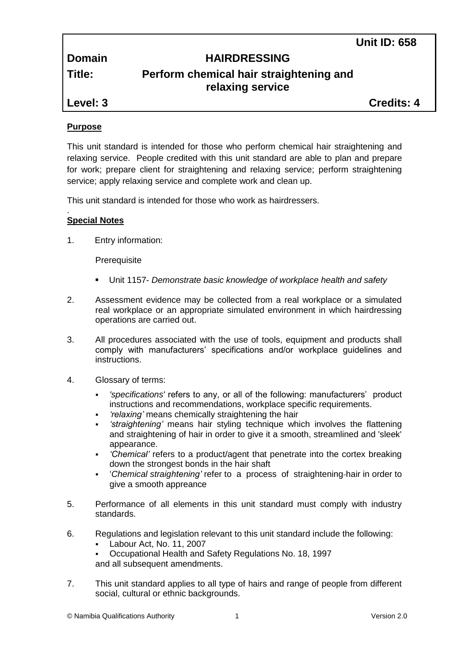**Unit ID: 658**

# **Domain HAIRDRESSING**

# **Title: Perform chemical hair straightening and relaxing service**

**Level: 3 Credits: 4**

## **Purpose**

This unit standard is intended for those who perform chemical hair straightening and relaxing service. People credited with this unit standard are able to plan and prepare for work; prepare client for straightening and relaxing service; perform straightening service; apply relaxing service and complete work and clean up.

This unit standard is intended for those who work as hairdressers.

#### . **Special Notes**

1. Entry information:

**Prerequisite** 

- Unit 1157- *Demonstrate basic knowledge of workplace health and safety*
- 2. Assessment evidence may be collected from a real workplace or a simulated real workplace or an appropriate simulated environment in which hairdressing operations are carried out.
- 3. All procedures associated with the use of tools, equipment and products shall comply with manufacturers' specifications and/or workplace guidelines and instructions.
- 4. Glossary of terms:
	- *'specifications'* refers to any, or all of the following: manufacturers' product instructions and recommendations, workplace specific requirements.
	- *'relaxing'* means chemically straightening the hair
	- *'straightening'* means hair styling technique which involves the flattening and straightening of hair in order to give it a smooth, streamlined and 'sleek' appearance.
	- *'Chemical'* refers to a product/agent that penetrate into the cortex breaking down the strongest bonds in the hair shaft
	- '*Chemical straightening'* refer to a process of straightening hair in order to give a smooth appreance
- 5. Performance of all elements in this unit standard must comply with industry standards.
- 6. Regulations and legislation relevant to this unit standard include the following:
	- Labour Act, No. 11, 2007
	- Occupational Health and Safety Regulations No. 18, 1997
	- and all subsequent amendments.
- 7. This unit standard applies to all type of hairs and range of people from different social, cultural or ethnic backgrounds.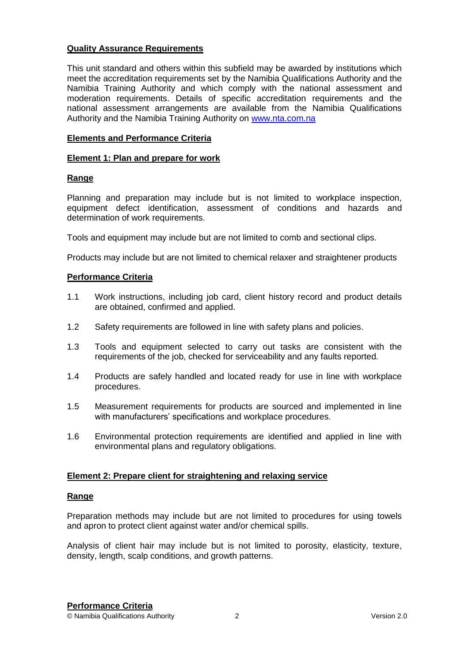#### **Quality Assurance Requirements**

This unit standard and others within this subfield may be awarded by institutions which meet the accreditation requirements set by the Namibia Qualifications Authority and the Namibia Training Authority and which comply with the national assessment and moderation requirements. Details of specific accreditation requirements and the national assessment arrangements are available from the Namibia Qualifications Authority and the Namibia Training Authority on [www.nta.com.na](http://www.nta.com.na/)

#### **Elements and Performance Criteria**

#### **Element 1: Plan and prepare for work**

#### **Range**

Planning and preparation may include but is not limited to workplace inspection, equipment defect identification, assessment of conditions and hazards and determination of work requirements.

Tools and equipment may include but are not limited to comb and sectional clips.

Products may include but are not limited to chemical relaxer and straightener products

#### **Performance Criteria**

- 1.1 Work instructions, including job card, client history record and product details are obtained, confirmed and applied.
- 1.2 Safety requirements are followed in line with safety plans and policies.
- 1.3 Tools and equipment selected to carry out tasks are consistent with the requirements of the job, checked for serviceability and any faults reported.
- 1.4 Products are safely handled and located ready for use in line with workplace procedures.
- 1.5 Measurement requirements for products are sourced and implemented in line with manufacturers' specifications and workplace procedures.
- 1.6 Environmental protection requirements are identified and applied in line with environmental plans and regulatory obligations.

#### **Element 2: Prepare client for straightening and relaxing service**

#### **Range**

Preparation methods may include but are not limited to procedures for using towels and apron to protect client against water and/or chemical spills.

Analysis of client hair may include but is not limited to porosity, elasticity, texture, density, length, scalp conditions, and growth patterns.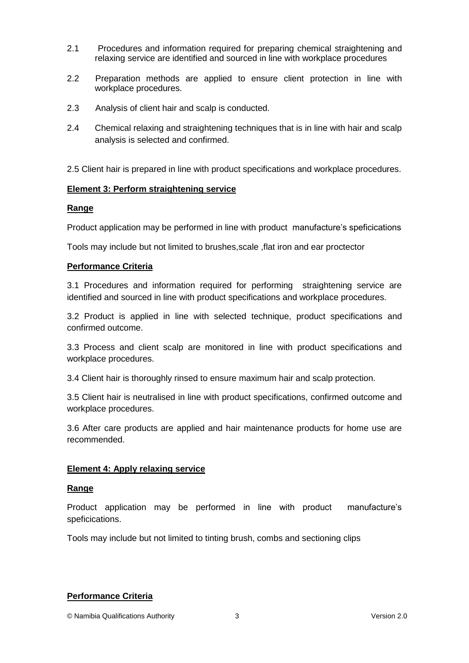- 2.1 Procedures and information required for preparing chemical straightening and relaxing service are identified and sourced in line with workplace procedures
- 2.2 Preparation methods are applied to ensure client protection in line with workplace procedures.
- 2.3 Analysis of client hair and scalp is conducted.
- 2.4 Chemical relaxing and straightening techniques that is in line with hair and scalp analysis is selected and confirmed.

2.5 Client hair is prepared in line with product specifications and workplace procedures.

#### **Element 3: Perform straightening service**

#### **Range**

Product application may be performed in line with product manufacture's speficications

Tools may include but not limited to brushes,scale ,flat iron and ear proctector

#### **Performance Criteria**

3.1 Procedures and information required for performing straightening service are identified and sourced in line with product specifications and workplace procedures.

3.2 Product is applied in line with selected technique, product specifications and confirmed outcome.

3.3 Process and client scalp are monitored in line with product specifications and workplace procedures.

3.4 Client hair is thoroughly rinsed to ensure maximum hair and scalp protection.

3.5 Client hair is neutralised in line with product specifications, confirmed outcome and workplace procedures.

3.6 After care products are applied and hair maintenance products for home use are recommended.

#### **Element 4: Apply relaxing service**

#### **Range**

Product application may be performed in line with product manufacture's speficications.

Tools may include but not limited to tinting brush, combs and sectioning clips

#### **Performance Criteria**